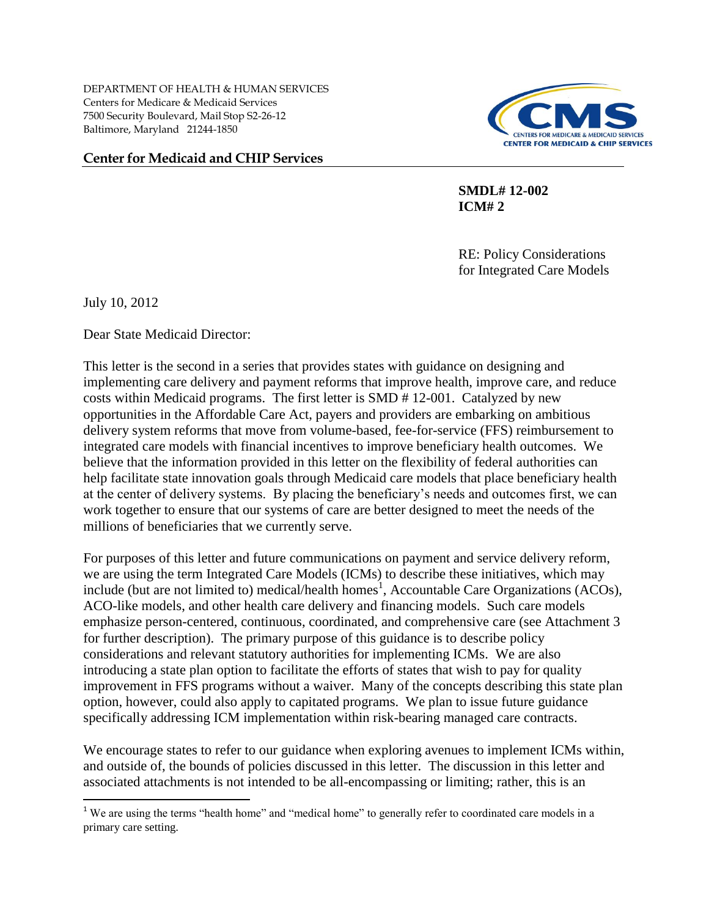DEPARTMENT OF HEALTH & HUMAN SERVICES Centers for Medicare & Medicaid Services 7500 Security Boulevard, Mail Stop S2-26-12 Baltimore, Maryland 21244-1850

## **Center for Medicaid and CHIP Services**



 **SMDL# 12-002 ICM# 2** 

> RE: Policy Considerations for Integrated Care Models

July 10, 2012

 $\overline{a}$ 

Dear State Medicaid Director:

This letter is the second in a series that provides states with guidance on designing and implementing care delivery and payment reforms that improve health, improve care, and reduce costs within Medicaid programs. The first letter is SMD # 12-001. Catalyzed by new opportunities in the Affordable Care Act, payers and providers are embarking on ambitious delivery system reforms that move from volume-based, fee-for-service (FFS) reimbursement to integrated care models with financial incentives to improve beneficiary health outcomes. We believe that the information provided in this letter on the flexibility of federal authorities can help facilitate state innovation goals through Medicaid care models that place beneficiary health at the center of delivery systems. By placing the beneficiary's needs and outcomes first, we can work together to ensure that our systems of care are better designed to meet the needs of the millions of beneficiaries that we currently serve.

For purposes of this letter and future communications on payment and service delivery reform, we are using the term Integrated Care Models (ICMs) to describe these initiatives, which may include (but are not limited to) medical/health homes<sup>1</sup>, Accountable Care Organizations (ACOs), ACO-like models, and other health care delivery and financing models. Such care models emphasize person-centered, continuous, coordinated, and comprehensive care (see Attachment 3 for further description). The primary purpose of this guidance is to describe policy considerations and relevant statutory authorities for implementing ICMs. We are also introducing a state plan option to facilitate the efforts of states that wish to pay for quality improvement in FFS programs without a waiver. Many of the concepts describing this state plan option, however, could also apply to capitated programs. We plan to issue future guidance specifically addressing ICM implementation within risk-bearing managed care contracts.

We encourage states to refer to our guidance when exploring avenues to implement ICMs within, and outside of, the bounds of policies discussed in this letter. The discussion in this letter and associated attachments is not intended to be all-encompassing or limiting; rather, this is an

<sup>&</sup>lt;sup>1</sup> We are using the terms "health home" and "medical home" to generally refer to coordinated care models in a primary care setting.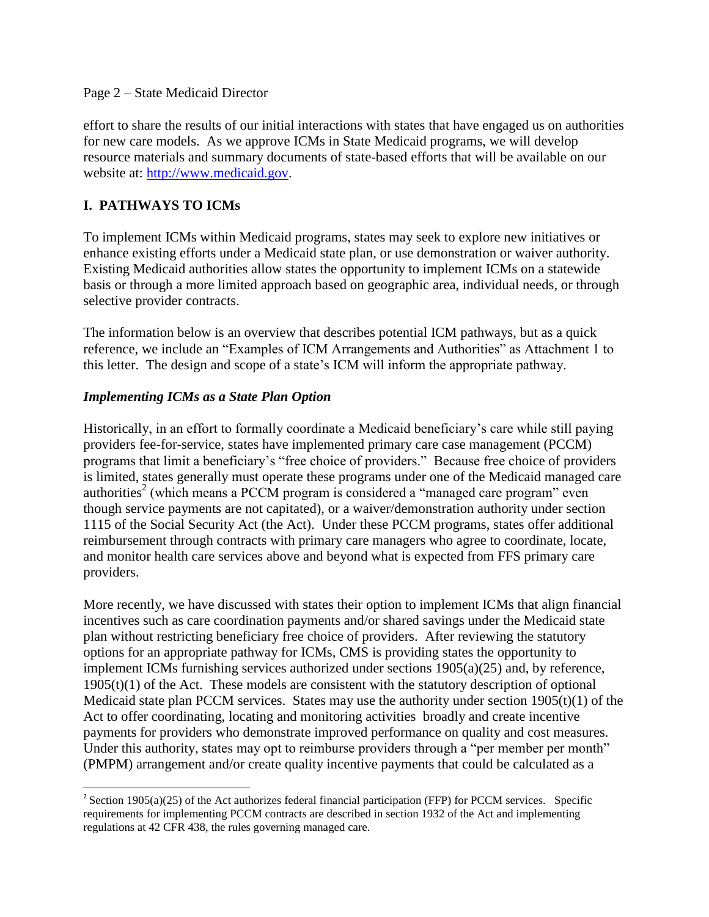#### Page 2 – State Medicaid Director

effort to share the results of our initial interactions with states that have engaged us on authorities for new care models. As we approve ICMs in State Medicaid programs, we will develop resource materials and summary documents of state-based efforts that will be available on our website at: [http://www.medicaid.gov.](http://www.medicaid.gov/)

# **I. PATHWAYS TO ICMs**

 $\overline{a}$ 

To implement ICMs within Medicaid programs, states may seek to explore new initiatives or enhance existing efforts under a Medicaid state plan, or use demonstration or waiver authority. Existing Medicaid authorities allow states the opportunity to implement ICMs on a statewide basis or through a more limited approach based on geographic area, individual needs, or through selective provider contracts.

The information below is an overview that describes potential ICM pathways, but as a quick reference, we include an "Examples of ICM Arrangements and Authorities" as Attachment 1 to this letter. The design and scope of a state's ICM will inform the appropriate pathway.

## *Implementing ICMs as a State Plan Option*

Historically, in an effort to formally coordinate a Medicaid beneficiary's care while still paying providers fee-for-service, states have implemented primary care case management (PCCM) programs that limit a beneficiary's "free choice of providers." Because free choice of providers is limited, states generally must operate these programs under one of the Medicaid managed care authorities<sup>2</sup> (which means a PCCM program is considered a "managed care program" even though service payments are not capitated), or a waiver/demonstration authority under section 1115 of the Social Security Act (the Act). Under these PCCM programs, states offer additional reimbursement through contracts with primary care managers who agree to coordinate, locate, and monitor health care services above and beyond what is expected from FFS primary care providers.

More recently, we have discussed with states their option to implement ICMs that align financial incentives such as care coordination payments and/or shared savings under the Medicaid state plan without restricting beneficiary free choice of providers. After reviewing the statutory options for an appropriate pathway for ICMs, CMS is providing states the opportunity to implement ICMs furnishing services authorized under sections 1905(a)(25) and, by reference,  $1905(t)(1)$  of the Act. These models are consistent with the statutory description of optional Medicaid state plan PCCM services. States may use the authority under section  $1905(t)(1)$  of the Act to offer coordinating, locating and monitoring activities broadly and create incentive payments for providers who demonstrate improved performance on quality and cost measures. Under this authority, states may opt to reimburse providers through a "per member per month" (PMPM) arrangement and/or create quality incentive payments that could be calculated as a

<sup>&</sup>lt;sup>2</sup> Section 1905(a)(25) of the Act authorizes federal financial participation (FFP) for PCCM services. Specific requirements for implementing PCCM contracts are described in section 1932 of the Act and implementing regulations at 42 CFR 438, the rules governing managed care.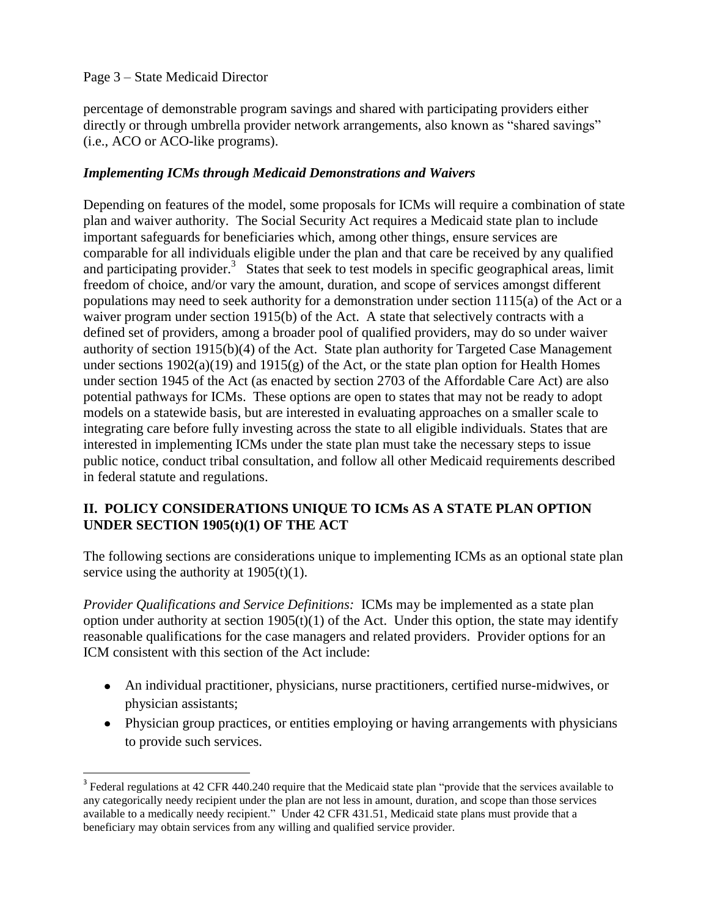# Page 3 – State Medicaid Director

 $\overline{a}$ 

percentage of demonstrable program savings and shared with participating providers either directly or through umbrella provider network arrangements, also known as "shared savings" (i.e., ACO or ACO-like programs).

# *Implementing ICMs through Medicaid Demonstrations and Waivers*

Depending on features of the model, some proposals for ICMs will require a combination of state plan and waiver authority. The Social Security Act requires a Medicaid state plan to include important safeguards for beneficiaries which, among other things, ensure services are comparable for all individuals eligible under the plan and that care be received by any qualified and participating provider.<sup>3</sup> States that seek to test models in specific geographical areas, limit freedom of choice, and/or vary the amount, duration, and scope of services amongst different populations may need to seek authority for a demonstration under section 1115(a) of the Act or a waiver program under section 1915(b) of the Act. A state that selectively contracts with a defined set of providers, among a broader pool of qualified providers, may do so under waiver authority of section 1915(b)(4) of the Act. State plan authority for Targeted Case Management under sections  $1902(a)(19)$  and  $1915(g)$  of the Act, or the state plan option for Health Homes under section 1945 of the Act (as enacted by section 2703 of the Affordable Care Act) are also potential pathways for ICMs. These options are open to states that may not be ready to adopt models on a statewide basis, but are interested in evaluating approaches on a smaller scale to integrating care before fully investing across the state to all eligible individuals. States that are interested in implementing ICMs under the state plan must take the necessary steps to issue public notice, conduct tribal consultation, and follow all other Medicaid requirements described in federal statute and regulations.

# **II. POLICY CONSIDERATIONS UNIQUE TO ICMs AS A STATE PLAN OPTION UNDER SECTION 1905(t)(1) OF THE ACT**

The following sections are considerations unique to implementing ICMs as an optional state plan service using the authority at  $1905(t)(1)$ .

*Provider Qualifications and Service Definitions:* ICMs may be implemented as a state plan option under authority at section  $1905(t)(1)$  of the Act. Under this option, the state may identify reasonable qualifications for the case managers and related providers. Provider options for an ICM consistent with this section of the Act include:

- An individual practitioner, physicians, nurse practitioners, certified nurse-midwives, or physician assistants;
- Physician group practices, or entities employing or having arrangements with physicians to provide such services.

<sup>&</sup>lt;sup>3</sup> Federal regulations at 42 CFR 440.240 require that the Medicaid state plan "provide that the services available to any categorically needy recipient under the plan are not less in amount, duration, and scope than those services available to a medically needy recipient." Under 42 CFR 431.51, Medicaid state plans must provide that a beneficiary may obtain services from any willing and qualified service provider.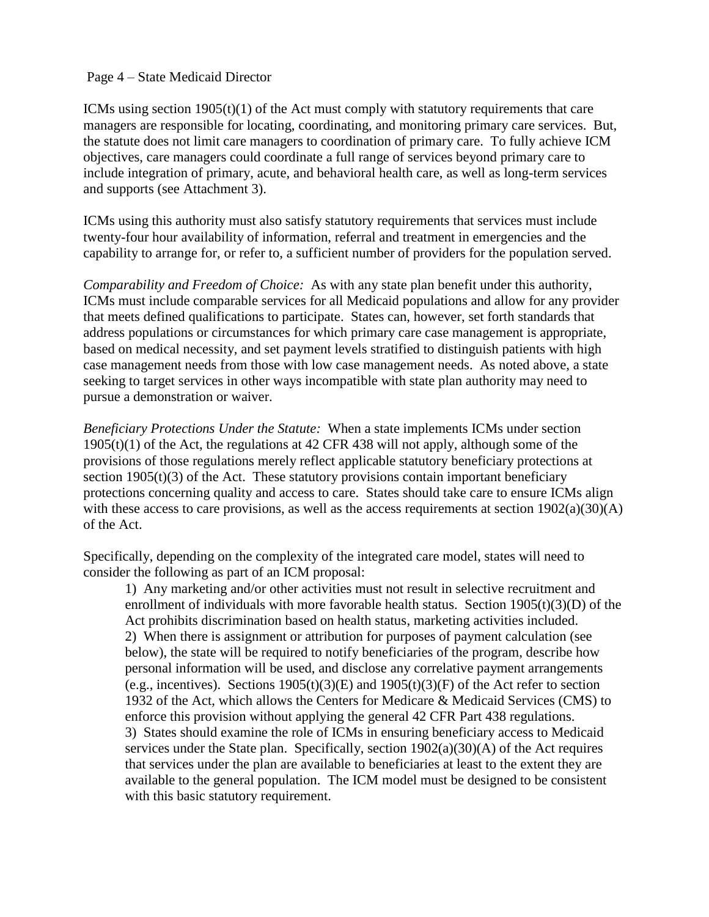#### Page 4 – State Medicaid Director

ICMs using section  $1905(t)(1)$  of the Act must comply with statutory requirements that care managers are responsible for locating, coordinating, and monitoring primary care services. But, the statute does not limit care managers to coordination of primary care. To fully achieve ICM objectives, care managers could coordinate a full range of services beyond primary care to include integration of primary, acute, and behavioral health care, as well as long-term services and supports (see Attachment 3).

ICMs using this authority must also satisfy statutory requirements that services must include twenty-four hour availability of information, referral and treatment in emergencies and the capability to arrange for, or refer to, a sufficient number of providers for the population served.

*Comparability and Freedom of Choice:* As with any state plan benefit under this authority, ICMs must include comparable services for all Medicaid populations and allow for any provider that meets defined qualifications to participate. States can, however, set forth standards that address populations or circumstances for which primary care case management is appropriate, based on medical necessity, and set payment levels stratified to distinguish patients with high case management needs from those with low case management needs. As noted above, a state seeking to target services in other ways incompatible with state plan authority may need to pursue a demonstration or waiver.

*Beneficiary Protections Under the Statute:* When a state implements ICMs under section 1905(t)(1) of the Act, the regulations at 42 CFR 438 will not apply, although some of the provisions of those regulations merely reflect applicable statutory beneficiary protections at section  $1905(t)(3)$  of the Act. These statutory provisions contain important beneficiary protections concerning quality and access to care. States should take care to ensure ICMs align with these access to care provisions, as well as the access requirements at section  $1902(a)(30)(A)$ of the Act.

Specifically, depending on the complexity of the integrated care model, states will need to consider the following as part of an ICM proposal:

1) Any marketing and/or other activities must not result in selective recruitment and enrollment of individuals with more favorable health status. Section  $1905(t)(3)(D)$  of the Act prohibits discrimination based on health status, marketing activities included. 2) When there is assignment or attribution for purposes of payment calculation (see below), the state will be required to notify beneficiaries of the program, describe how personal information will be used, and disclose any correlative payment arrangements (e.g., incentives). Sections  $1905(t)(3)(E)$  and  $1905(t)(3)(F)$  of the Act refer to section 1932 of the Act, which allows the Centers for Medicare & Medicaid Services (CMS) to enforce this provision without applying the general 42 CFR Part 438 regulations. 3) States should examine the role of ICMs in ensuring beneficiary access to Medicaid services under the State plan. Specifically, section  $1902(a)(30)(A)$  of the Act requires that services under the plan are available to beneficiaries at least to the extent they are available to the general population. The ICM model must be designed to be consistent with this basic statutory requirement.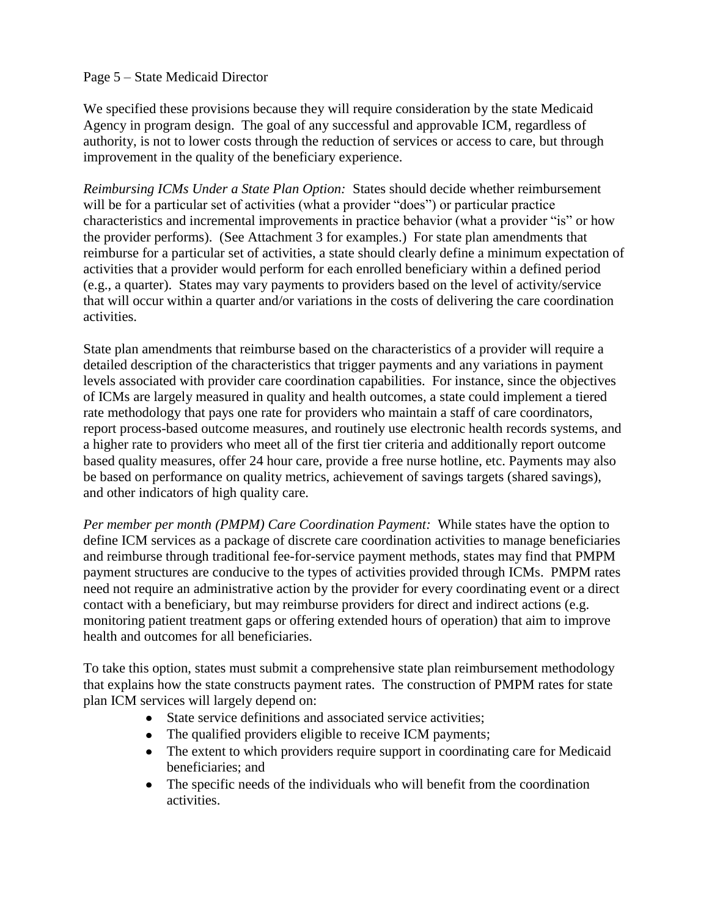### Page 5 – State Medicaid Director

We specified these provisions because they will require consideration by the state Medicaid Agency in program design. The goal of any successful and approvable ICM, regardless of authority, is not to lower costs through the reduction of services or access to care, but through improvement in the quality of the beneficiary experience.

*Reimbursing ICMs Under a State Plan Option:* States should decide whether reimbursement will be for a particular set of activities (what a provider "does") or particular practice characteristics and incremental improvements in practice behavior (what a provider "is" or how the provider performs). (See Attachment 3 for examples.) For state plan amendments that reimburse for a particular set of activities, a state should clearly define a minimum expectation of activities that a provider would perform for each enrolled beneficiary within a defined period (e.g., a quarter). States may vary payments to providers based on the level of activity/service that will occur within a quarter and/or variations in the costs of delivering the care coordination activities.

State plan amendments that reimburse based on the characteristics of a provider will require a detailed description of the characteristics that trigger payments and any variations in payment levels associated with provider care coordination capabilities. For instance, since the objectives of ICMs are largely measured in quality and health outcomes, a state could implement a tiered rate methodology that pays one rate for providers who maintain a staff of care coordinators, report process-based outcome measures, and routinely use electronic health records systems, and a higher rate to providers who meet all of the first tier criteria and additionally report outcome based quality measures, offer 24 hour care, provide a free nurse hotline, etc. Payments may also be based on performance on quality metrics, achievement of savings targets (shared savings), and other indicators of high quality care.

*Per member per month (PMPM) Care Coordination Payment:* While states have the option to define ICM services as a package of discrete care coordination activities to manage beneficiaries and reimburse through traditional fee-for-service payment methods, states may find that PMPM payment structures are conducive to the types of activities provided through ICMs. PMPM rates need not require an administrative action by the provider for every coordinating event or a direct contact with a beneficiary, but may reimburse providers for direct and indirect actions (e.g. monitoring patient treatment gaps or offering extended hours of operation) that aim to improve health and outcomes for all beneficiaries.

To take this option, states must submit a comprehensive state plan reimbursement methodology that explains how the state constructs payment rates. The construction of PMPM rates for state plan ICM services will largely depend on:

- State service definitions and associated service activities;  $\bullet$
- The qualified providers eligible to receive ICM payments;  $\bullet$
- The extent to which providers require support in coordinating care for Medicaid beneficiaries; and
- The specific needs of the individuals who will benefit from the coordination  $\bullet$ activities.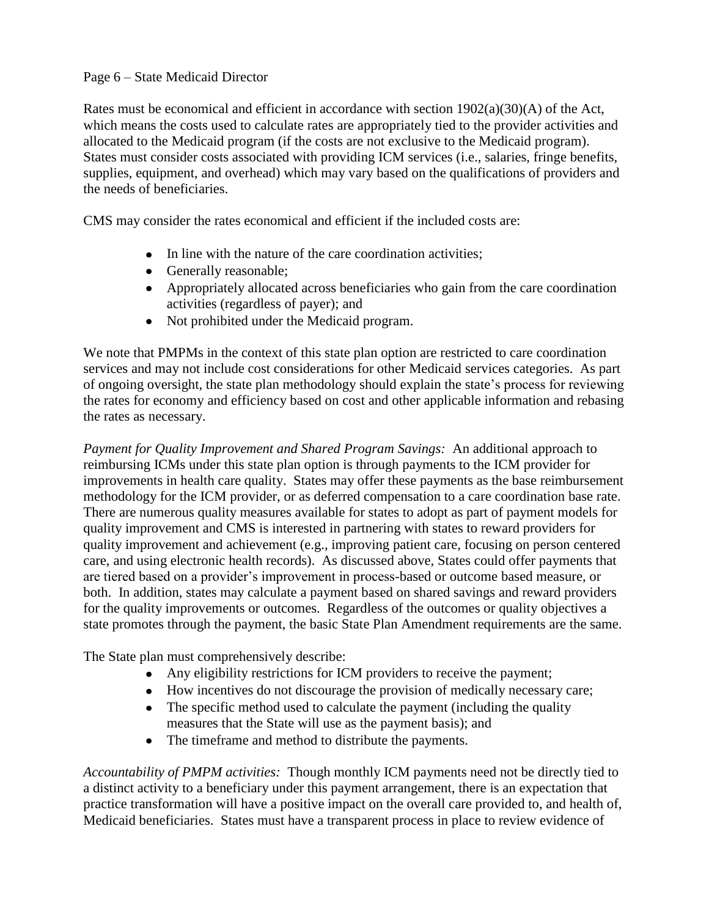# Page 6 – State Medicaid Director

Rates must be economical and efficient in accordance with section  $1902(a)(30)(A)$  of the Act, which means the costs used to calculate rates are appropriately tied to the provider activities and allocated to the Medicaid program (if the costs are not exclusive to the Medicaid program). States must consider costs associated with providing ICM services (i.e., salaries, fringe benefits, supplies, equipment, and overhead) which may vary based on the qualifications of providers and the needs of beneficiaries.

CMS may consider the rates economical and efficient if the included costs are:

- In line with the nature of the care coordination activities;
- Generally reasonable;
- Appropriately allocated across beneficiaries who gain from the care coordination activities (regardless of payer); and
- Not prohibited under the Medicaid program.

We note that PMPMs in the context of this state plan option are restricted to care coordination services and may not include cost considerations for other Medicaid services categories. As part of ongoing oversight, the state plan methodology should explain the state's process for reviewing the rates for economy and efficiency based on cost and other applicable information and rebasing the rates as necessary.

*Payment for Quality Improvement and Shared Program Savings:* An additional approach to reimbursing ICMs under this state plan option is through payments to the ICM provider for improvements in health care quality. States may offer these payments as the base reimbursement methodology for the ICM provider, or as deferred compensation to a care coordination base rate. There are numerous quality measures available for states to adopt as part of payment models for quality improvement and CMS is interested in partnering with states to reward providers for quality improvement and achievement (e.g., improving patient care, focusing on person centered care, and using electronic health records). As discussed above, States could offer payments that are tiered based on a provider's improvement in process-based or outcome based measure, or both. In addition, states may calculate a payment based on shared savings and reward providers for the quality improvements or outcomes. Regardless of the outcomes or quality objectives a state promotes through the payment, the basic State Plan Amendment requirements are the same.

The State plan must comprehensively describe:

- Any eligibility restrictions for ICM providers to receive the payment;
- How incentives do not discourage the provision of medically necessary care;
- The specific method used to calculate the payment (including the quality measures that the State will use as the payment basis); and
- The timeframe and method to distribute the payments.

*Accountability of PMPM activities:* Though monthly ICM payments need not be directly tied to a distinct activity to a beneficiary under this payment arrangement, there is an expectation that practice transformation will have a positive impact on the overall care provided to, and health of, Medicaid beneficiaries. States must have a transparent process in place to review evidence of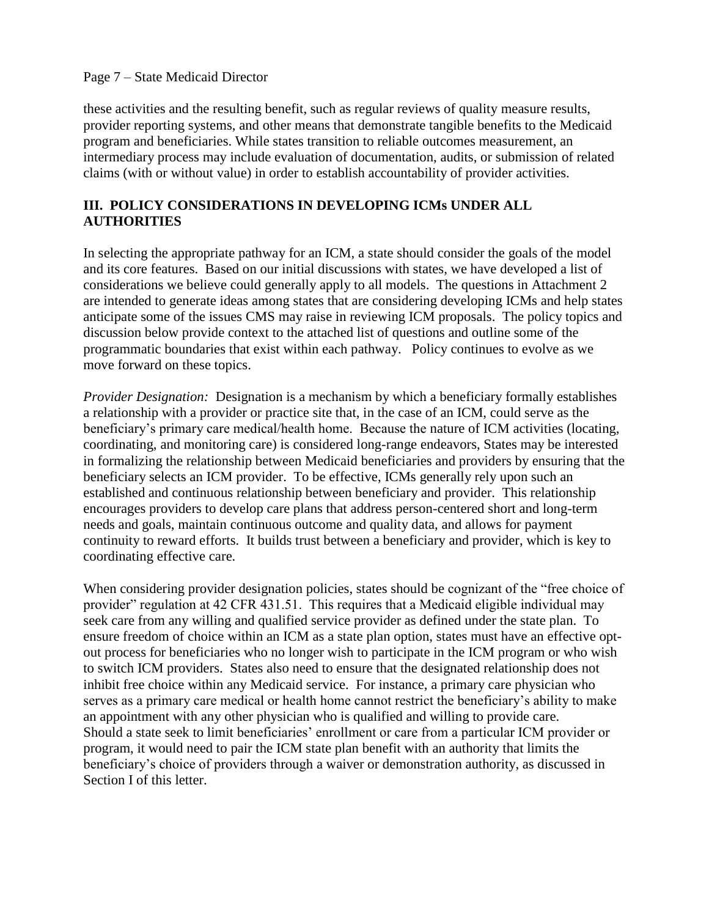#### Page 7 – State Medicaid Director

these activities and the resulting benefit, such as regular reviews of quality measure results, provider reporting systems, and other means that demonstrate tangible benefits to the Medicaid program and beneficiaries. While states transition to reliable outcomes measurement, an intermediary process may include evaluation of documentation, audits, or submission of related claims (with or without value) in order to establish accountability of provider activities.

# **III. POLICY CONSIDERATIONS IN DEVELOPING ICMs UNDER ALL AUTHORITIES**

In selecting the appropriate pathway for an ICM, a state should consider the goals of the model and its core features. Based on our initial discussions with states, we have developed a list of considerations we believe could generally apply to all models. The questions in Attachment 2 are intended to generate ideas among states that are considering developing ICMs and help states anticipate some of the issues CMS may raise in reviewing ICM proposals. The policy topics and discussion below provide context to the attached list of questions and outline some of the programmatic boundaries that exist within each pathway. Policy continues to evolve as we move forward on these topics.

*Provider Designation:* Designation is a mechanism by which a beneficiary formally establishes a relationship with a provider or practice site that, in the case of an ICM, could serve as the beneficiary's primary care medical/health home. Because the nature of ICM activities (locating, coordinating, and monitoring care) is considered long-range endeavors, States may be interested in formalizing the relationship between Medicaid beneficiaries and providers by ensuring that the beneficiary selects an ICM provider. To be effective, ICMs generally rely upon such an established and continuous relationship between beneficiary and provider. This relationship encourages providers to develop care plans that address person-centered short and long-term needs and goals, maintain continuous outcome and quality data, and allows for payment continuity to reward efforts. It builds trust between a beneficiary and provider, which is key to coordinating effective care.

When considering provider designation policies, states should be cognizant of the "free choice of provider" regulation at 42 CFR 431.51. This requires that a Medicaid eligible individual may seek care from any willing and qualified service provider as defined under the state plan. To ensure freedom of choice within an ICM as a state plan option, states must have an effective optout process for beneficiaries who no longer wish to participate in the ICM program or who wish to switch ICM providers. States also need to ensure that the designated relationship does not inhibit free choice within any Medicaid service. For instance, a primary care physician who serves as a primary care medical or health home cannot restrict the beneficiary's ability to make an appointment with any other physician who is qualified and willing to provide care. Should a state seek to limit beneficiaries' enrollment or care from a particular ICM provider or program, it would need to pair the ICM state plan benefit with an authority that limits the beneficiary's choice of providers through a waiver or demonstration authority, as discussed in Section I of this letter.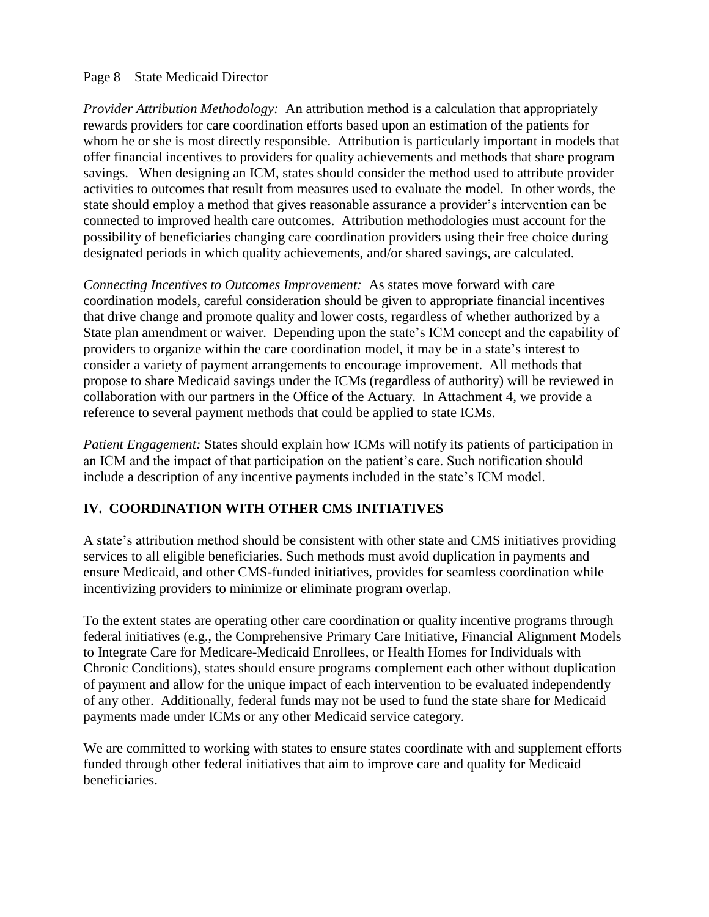#### Page 8 – State Medicaid Director

*Provider Attribution Methodology:* An attribution method is a calculation that appropriately rewards providers for care coordination efforts based upon an estimation of the patients for whom he or she is most directly responsible. Attribution is particularly important in models that offer financial incentives to providers for quality achievements and methods that share program savings. When designing an ICM, states should consider the method used to attribute provider activities to outcomes that result from measures used to evaluate the model. In other words, the state should employ a method that gives reasonable assurance a provider's intervention can be connected to improved health care outcomes. Attribution methodologies must account for the possibility of beneficiaries changing care coordination providers using their free choice during designated periods in which quality achievements, and/or shared savings, are calculated.

*Connecting Incentives to Outcomes Improvement:* As states move forward with care coordination models, careful consideration should be given to appropriate financial incentives that drive change and promote quality and lower costs, regardless of whether authorized by a State plan amendment or waiver. Depending upon the state's ICM concept and the capability of providers to organize within the care coordination model, it may be in a state's interest to consider a variety of payment arrangements to encourage improvement. All methods that propose to share Medicaid savings under the ICMs (regardless of authority) will be reviewed in collaboration with our partners in the Office of the Actuary. In Attachment 4, we provide a reference to several payment methods that could be applied to state ICMs.

*Patient Engagement:* States should explain how ICMs will notify its patients of participation in an ICM and the impact of that participation on the patient's care. Such notification should include a description of any incentive payments included in the state's ICM model.

# **IV. COORDINATION WITH OTHER CMS INITIATIVES**

A state's attribution method should be consistent with other state and CMS initiatives providing services to all eligible beneficiaries. Such methods must avoid duplication in payments and ensure Medicaid, and other CMS-funded initiatives, provides for seamless coordination while incentivizing providers to minimize or eliminate program overlap.

To the extent states are operating other care coordination or quality incentive programs through federal initiatives (e.g., the Comprehensive Primary Care Initiative, Financial Alignment Models to Integrate Care for Medicare-Medicaid Enrollees, or Health Homes for Individuals with Chronic Conditions), states should ensure programs complement each other without duplication of payment and allow for the unique impact of each intervention to be evaluated independently of any other. Additionally, federal funds may not be used to fund the state share for Medicaid payments made under ICMs or any other Medicaid service category.

We are committed to working with states to ensure states coordinate with and supplement efforts funded through other federal initiatives that aim to improve care and quality for Medicaid beneficiaries.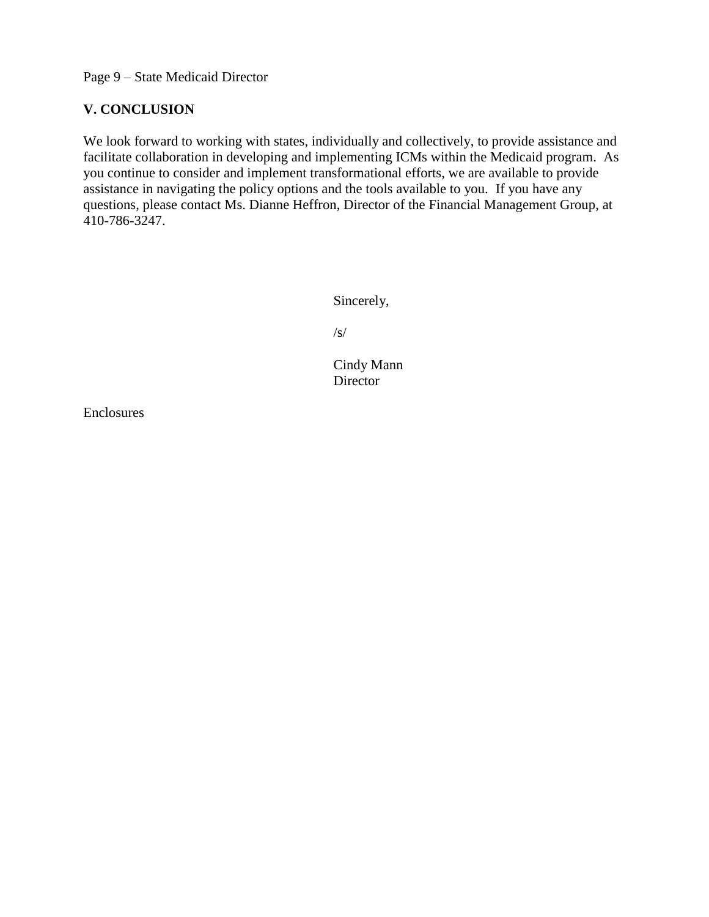Page 9 – State Medicaid Director

# **V. CONCLUSION**

We look forward to working with states, individually and collectively, to provide assistance and facilitate collaboration in developing and implementing ICMs within the Medicaid program. As you continue to consider and implement transformational efforts, we are available to provide assistance in navigating the policy options and the tools available to you. If you have any questions, please contact Ms. Dianne Heffron, Director of the Financial Management Group, at 410-786-3247.

Sincerely,

/s/

 Cindy Mann Director

Enclosures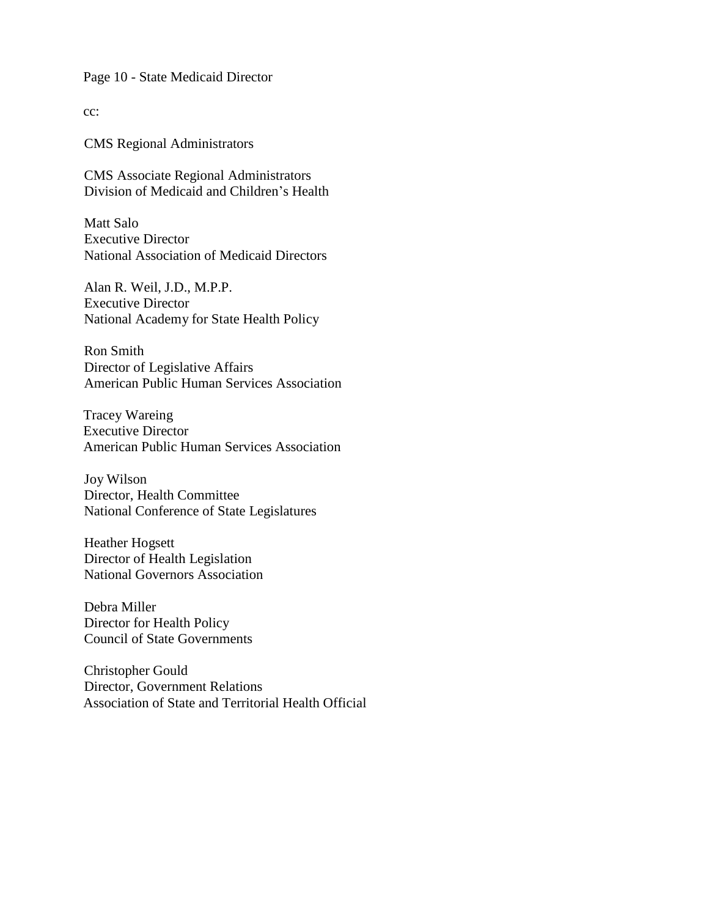Page 10 - State Medicaid Director

cc:

CMS Regional Administrators

CMS Associate Regional Administrators Division of Medicaid and Children's Health

Matt Salo Executive Director National Association of Medicaid Directors

Alan R. Weil, J.D., M.P.P. Executive Director National Academy for State Health Policy

Ron Smith Director of Legislative Affairs American Public Human Services Association

Tracey Wareing Executive Director American Public Human Services Association

Joy Wilson Director, Health Committee National Conference of State Legislatures

Heather Hogsett Director of Health Legislation National Governors Association

Debra Miller Director for Health Policy Council of State Governments

Christopher Gould Director, Government Relations Association of State and Territorial Health Official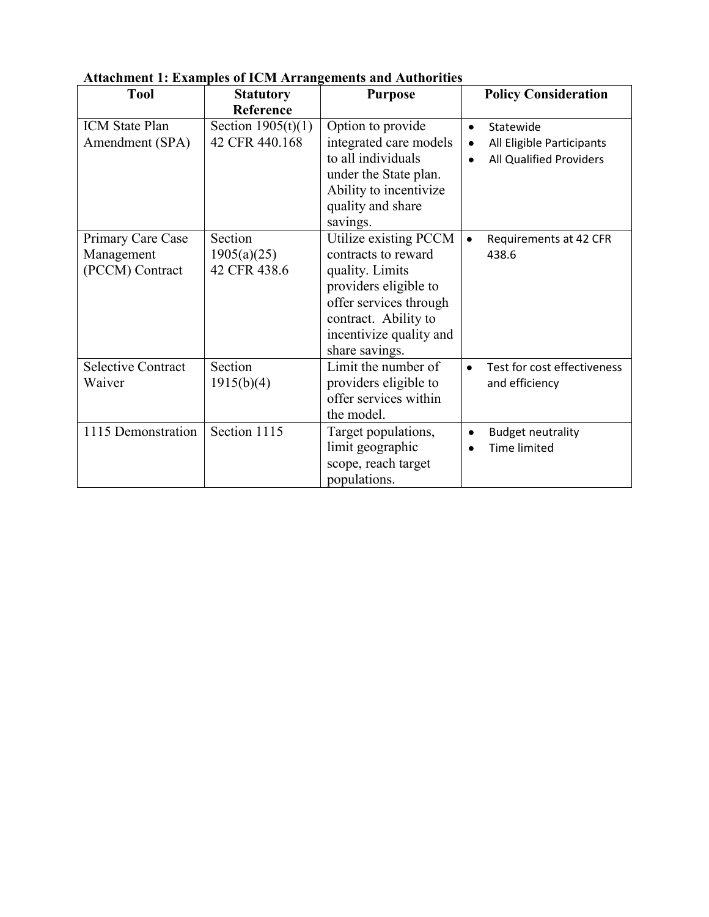| лиамписит 1. Елапирко от тели титан<br><b>Tool</b> | <b>Statutory</b>                       | спісніз апа таспотіліся<br><b>Purpose</b>                                                                                                                                               | <b>Policy Consideration</b>                                                                 |
|----------------------------------------------------|----------------------------------------|-----------------------------------------------------------------------------------------------------------------------------------------------------------------------------------------|---------------------------------------------------------------------------------------------|
|                                                    | Reference                              |                                                                                                                                                                                         |                                                                                             |
| <b>ICM</b> State Plan<br>Amendment (SPA)           | Section $1905(t)(1)$<br>42 CFR 440.168 | Option to provide<br>integrated care models<br>to all individuals<br>under the State plan.<br>Ability to incentivize<br>quality and share<br>savings.                                   | Statewide<br>$\bullet$<br>All Eligible Participants<br>$\bullet$<br>All Qualified Providers |
| Primary Care Case<br>Management<br>(PCCM) Contract | Section<br>1905(a)(25)<br>42 CFR 438.6 | Utilize existing PCCM<br>contracts to reward<br>quality. Limits<br>providers eligible to<br>offer services through<br>contract. Ability to<br>incentivize quality and<br>share savings. | Requirements at 42 CFR<br>438.6                                                             |
| <b>Selective Contract</b><br>Waiver                | Section<br>1915(b)(4)                  | Limit the number of<br>providers eligible to<br>offer services within<br>the model.                                                                                                     | Test for cost effectiveness<br>$\bullet$<br>and efficiency                                  |
| 1115 Demonstration                                 | Section 1115                           | Target populations,<br>limit geographic<br>scope, reach target<br>populations.                                                                                                          | <b>Budget neutrality</b><br>$\bullet$<br><b>Time limited</b>                                |

# **Attachment 1: Examples of ICM Arrangements and Authorities**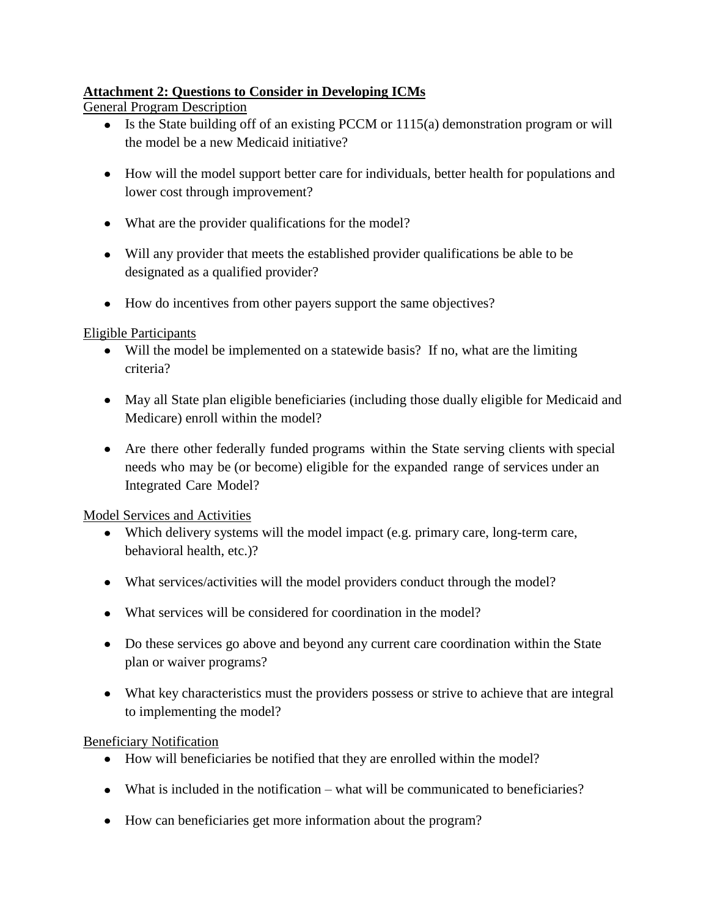# **Attachment 2: Questions to Consider in Developing ICMs**

General Program Description

- Is the State building off of an existing PCCM or 1115(a) demonstration program or will the model be a new Medicaid initiative?
- How will the model support better care for individuals, better health for populations and lower cost through improvement?
- What are the provider qualifications for the model?
- Will any provider that meets the established provider qualifications be able to be designated as a qualified provider?
- How do incentives from other payers support the same objectives?

## Eligible Participants

- Will the model be implemented on a statewide basis? If no, what are the limiting criteria?
- May all State plan eligible beneficiaries (including those dually eligible for Medicaid and Medicare) enroll within the model?
- Are there other federally funded programs within the State serving clients with special needs who may be (or become) eligible for the expanded range of services under an Integrated Care Model?

Model Services and Activities

- Which delivery systems will the model impact (e.g. primary care, long-term care, behavioral health, etc.)?
- What services/activities will the model providers conduct through the model?
- What services will be considered for coordination in the model?
- Do these services go above and beyond any current care coordination within the State plan or waiver programs?
- What key characteristics must the providers possess or strive to achieve that are integral to implementing the model?

Beneficiary Notification

- How will beneficiaries be notified that they are enrolled within the model?
- What is included in the notification what will be communicated to beneficiaries?
- How can beneficiaries get more information about the program?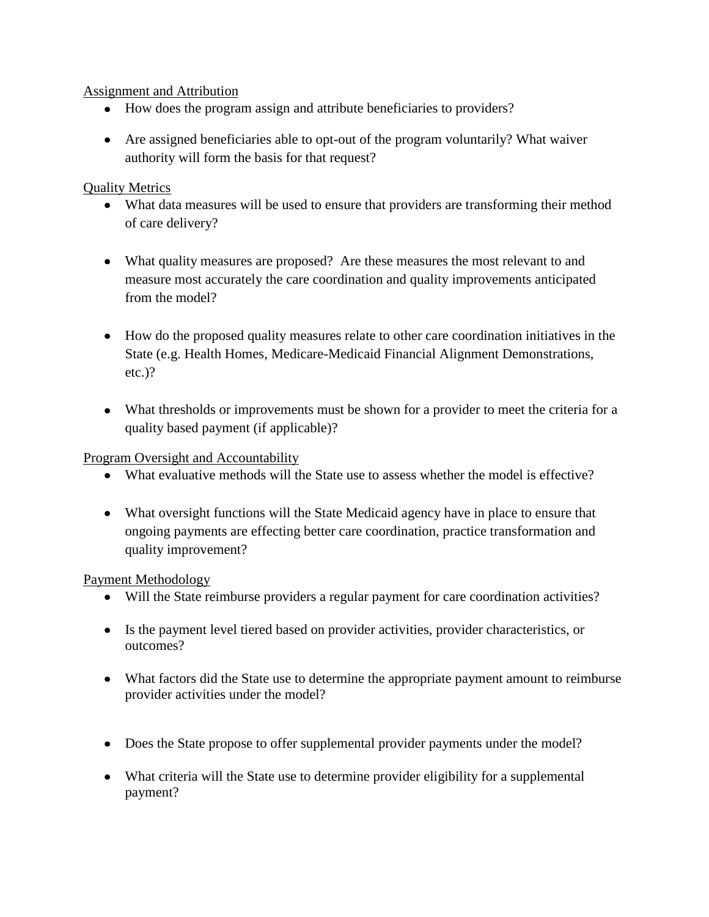# Assignment and Attribution

- How does the program assign and attribute beneficiaries to providers?
- Are assigned beneficiaries able to opt-out of the program voluntarily? What waiver authority will form the basis for that request?

# Quality Metrics

- What data measures will be used to ensure that providers are transforming their method of care delivery?
- What quality measures are proposed? Are these measures the most relevant to and measure most accurately the care coordination and quality improvements anticipated from the model?
- How do the proposed quality measures relate to other care coordination initiatives in the State (e.g. Health Homes, Medicare-Medicaid Financial Alignment Demonstrations, etc.)?
- What thresholds or improvements must be shown for a provider to meet the criteria for a quality based payment (if applicable)?

# Program Oversight and Accountability

- What evaluative methods will the State use to assess whether the model is effective?
- What oversight functions will the State Medicaid agency have in place to ensure that ongoing payments are effecting better care coordination, practice transformation and quality improvement?

# Payment Methodology

- Will the State reimburse providers a regular payment for care coordination activities?
- Is the payment level tiered based on provider activities, provider characteristics, or outcomes?
- What factors did the State use to determine the appropriate payment amount to reimburse provider activities under the model?
- Does the State propose to offer supplemental provider payments under the model?
- What criteria will the State use to determine provider eligibility for a supplemental payment?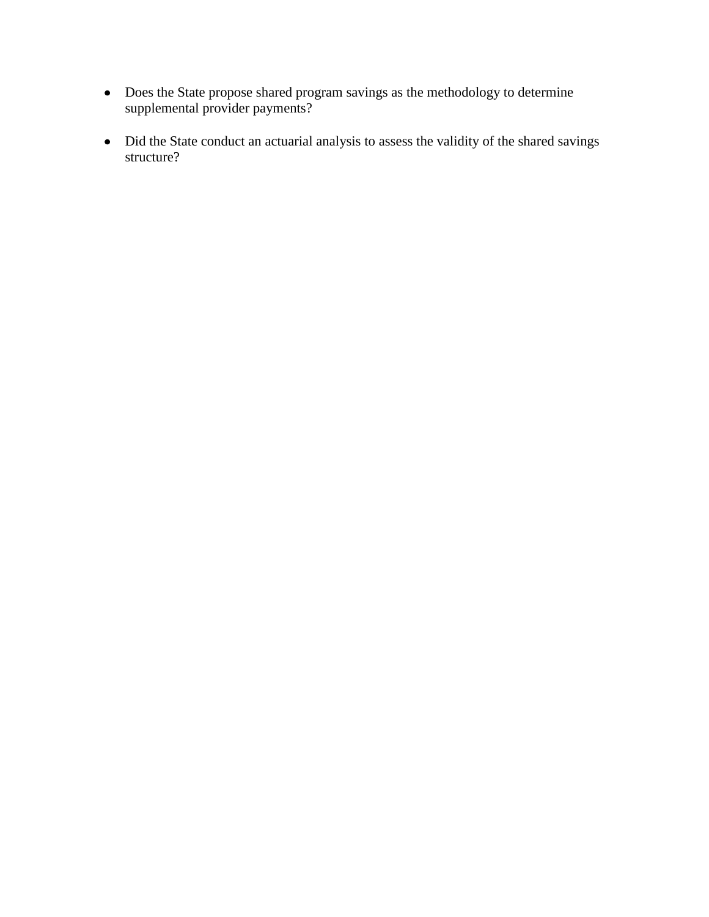- Does the State propose shared program savings as the methodology to determine supplemental provider payments?
- Did the State conduct an actuarial analysis to assess the validity of the shared savings structure?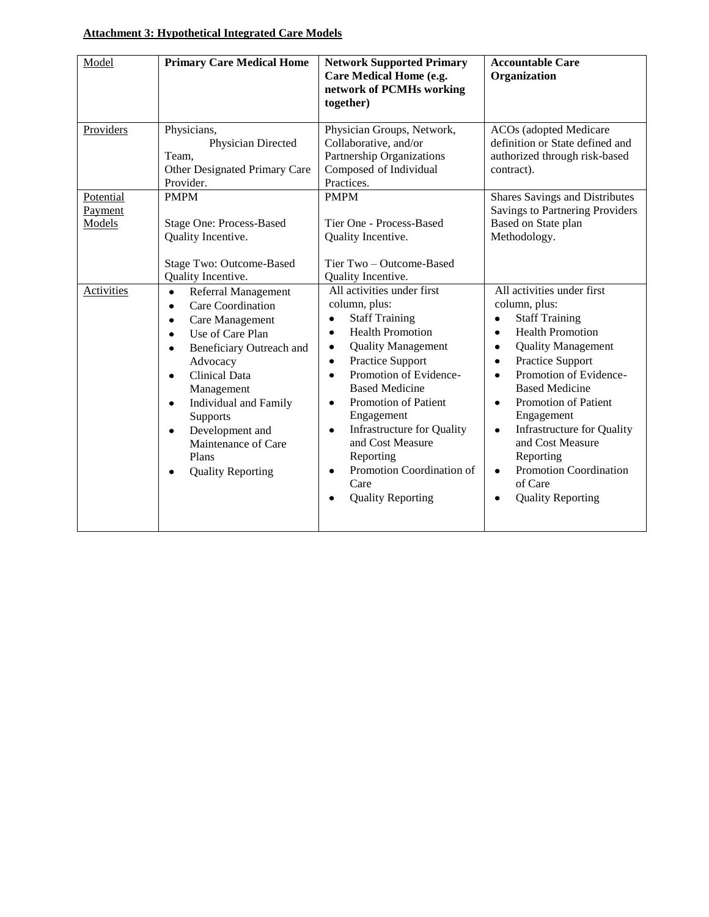### **Attachment 3: Hypothetical Integrated Care Models**

| Model                          | <b>Primary Care Medical Home</b>                                                                                                                                                                                                                                                                                                                                                                              | <b>Network Supported Primary</b><br><b>Care Medical Home (e.g.</b><br>network of PCMHs working<br>together)                                                                                                                                                                                                                                                                                                                                                                                           | <b>Accountable Care</b><br>Organization                                                                                                                                                                                                                                                                                                                                                                                                                                                  |
|--------------------------------|---------------------------------------------------------------------------------------------------------------------------------------------------------------------------------------------------------------------------------------------------------------------------------------------------------------------------------------------------------------------------------------------------------------|-------------------------------------------------------------------------------------------------------------------------------------------------------------------------------------------------------------------------------------------------------------------------------------------------------------------------------------------------------------------------------------------------------------------------------------------------------------------------------------------------------|------------------------------------------------------------------------------------------------------------------------------------------------------------------------------------------------------------------------------------------------------------------------------------------------------------------------------------------------------------------------------------------------------------------------------------------------------------------------------------------|
| Providers                      | Physicians,<br>Physician Directed<br>Team,<br>Other Designated Primary Care<br>Provider.                                                                                                                                                                                                                                                                                                                      | Physician Groups, Network,<br>Collaborative, and/or<br>Partnership Organizations<br>Composed of Individual<br>Practices.                                                                                                                                                                                                                                                                                                                                                                              | <b>ACOs</b> (adopted Medicare<br>definition or State defined and<br>authorized through risk-based<br>contract).                                                                                                                                                                                                                                                                                                                                                                          |
| Potential<br>Payment<br>Models | <b>PMPM</b><br><b>Stage One: Process-Based</b><br>Quality Incentive.<br>Stage Two: Outcome-Based<br>Quality Incentive.                                                                                                                                                                                                                                                                                        | <b>PMPM</b><br>Tier One - Process-Based<br>Quality Incentive.<br>Tier Two - Outcome-Based<br>Quality Incentive.                                                                                                                                                                                                                                                                                                                                                                                       | Shares Savings and Distributes<br>Savings to Partnering Providers<br>Based on State plan<br>Methodology.                                                                                                                                                                                                                                                                                                                                                                                 |
| Activities                     | Referral Management<br>$\bullet$<br>Care Coordination<br>$\bullet$<br>Care Management<br>$\bullet$<br>Use of Care Plan<br>$\bullet$<br>Beneficiary Outreach and<br>$\bullet$<br>Advocacy<br><b>Clinical Data</b><br>$\bullet$<br>Management<br><b>Individual and Family</b><br>$\bullet$<br>Supports<br>Development and<br>$\bullet$<br>Maintenance of Care<br>Plans<br><b>Quality Reporting</b><br>$\bullet$ | All activities under first<br>column, plus:<br><b>Staff Training</b><br>$\bullet$<br><b>Health Promotion</b><br>$\bullet$<br><b>Quality Management</b><br>$\bullet$<br>Practice Support<br>$\bullet$<br>Promotion of Evidence-<br>$\bullet$<br><b>Based Medicine</b><br>Promotion of Patient<br>$\bullet$<br>Engagement<br><b>Infrastructure for Quality</b><br>$\bullet$<br>and Cost Measure<br>Reporting<br>Promotion Coordination of<br>$\bullet$<br>Care<br><b>Quality Reporting</b><br>$\bullet$ | All activities under first<br>column, plus:<br><b>Staff Training</b><br>$\bullet$<br><b>Health Promotion</b><br>$\bullet$<br><b>Quality Management</b><br>$\bullet$<br>Practice Support<br>$\bullet$<br>Promotion of Evidence-<br>$\bullet$<br><b>Based Medicine</b><br>Promotion of Patient<br>$\bullet$<br>Engagement<br><b>Infrastructure for Quality</b><br>$\bullet$<br>and Cost Measure<br>Reporting<br>Promotion Coordination<br>$\bullet$<br>of Care<br><b>Quality Reporting</b> |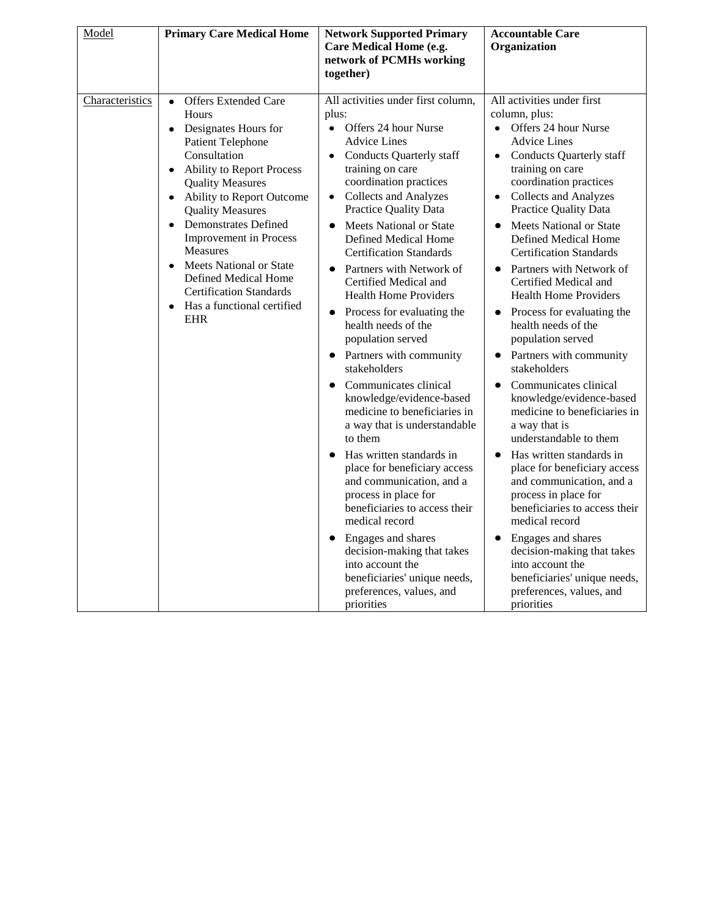| Model           | <b>Primary Care Medical Home</b>                                                                                                                                                                                                                                                                                                                                                                                                                                                                        | <b>Network Supported Primary</b><br>Care Medical Home (e.g.<br>network of PCMHs working<br>together)                                                                                                                                                                                                                                                                                                                                                                                                                                                                                                                                                                                                                                                                                                                                                                                                                                                                                                                | <b>Accountable Care</b><br>Organization                                                                                                                                                                                                                                                                                                                                                                                                                                                                                                                                                                                                                                                                                                                                                                                                                                                                                                                                                                      |
|-----------------|---------------------------------------------------------------------------------------------------------------------------------------------------------------------------------------------------------------------------------------------------------------------------------------------------------------------------------------------------------------------------------------------------------------------------------------------------------------------------------------------------------|---------------------------------------------------------------------------------------------------------------------------------------------------------------------------------------------------------------------------------------------------------------------------------------------------------------------------------------------------------------------------------------------------------------------------------------------------------------------------------------------------------------------------------------------------------------------------------------------------------------------------------------------------------------------------------------------------------------------------------------------------------------------------------------------------------------------------------------------------------------------------------------------------------------------------------------------------------------------------------------------------------------------|--------------------------------------------------------------------------------------------------------------------------------------------------------------------------------------------------------------------------------------------------------------------------------------------------------------------------------------------------------------------------------------------------------------------------------------------------------------------------------------------------------------------------------------------------------------------------------------------------------------------------------------------------------------------------------------------------------------------------------------------------------------------------------------------------------------------------------------------------------------------------------------------------------------------------------------------------------------------------------------------------------------|
| Characteristics | <b>Offers Extended Care</b><br>$\bullet$<br>Hours<br>Designates Hours for<br>$\bullet$<br><b>Patient Telephone</b><br>Consultation<br><b>Ability to Report Process</b><br>$\bullet$<br><b>Quality Measures</b><br><b>Ability to Report Outcome</b><br><b>Quality Measures</b><br><b>Demonstrates Defined</b><br><b>Improvement</b> in Process<br>Measures<br>Meets National or State<br>$\bullet$<br>Defined Medical Home<br><b>Certification Standards</b><br>Has a functional certified<br><b>EHR</b> | All activities under first column,<br>plus:<br>• Offers 24 hour Nurse<br><b>Advice Lines</b><br>• Conducts Quarterly staff<br>training on care<br>coordination practices<br><b>Collects and Analyzes</b><br>$\bullet$<br>Practice Quality Data<br>Meets National or State<br>$\bullet$<br>Defined Medical Home<br><b>Certification Standards</b><br>Partners with Network of<br>Certified Medical and<br><b>Health Home Providers</b><br>• Process for evaluating the<br>health needs of the<br>population served<br>• Partners with community<br>stakeholders<br>Communicates clinical<br>knowledge/evidence-based<br>medicine to beneficiaries in<br>a way that is understandable<br>to them<br>Has written standards in<br>place for beneficiary access<br>and communication, and a<br>process in place for<br>beneficiaries to access their<br>medical record<br>Engages and shares<br>decision-making that takes<br>into account the<br>beneficiaries' unique needs,<br>preferences, values, and<br>priorities | All activities under first<br>column, plus:<br>Offers 24 hour Nurse<br>$\bullet$<br><b>Advice Lines</b><br>• Conducts Quarterly staff<br>training on care<br>coordination practices<br>• Collects and Analyzes<br>Practice Quality Data<br>Meets National or State<br>$\bullet$<br>Defined Medical Home<br><b>Certification Standards</b><br>Partners with Network of<br>Certified Medical and<br><b>Health Home Providers</b><br>• Process for evaluating the<br>health needs of the<br>population served<br>• Partners with community<br>stakeholders<br>Communicates clinical<br>knowledge/evidence-based<br>medicine to beneficiaries in<br>a way that is<br>understandable to them<br>Has written standards in<br>place for beneficiary access<br>and communication, and a<br>process in place for<br>beneficiaries to access their<br>medical record<br>Engages and shares<br>decision-making that takes<br>into account the<br>beneficiaries' unique needs,<br>preferences, values, and<br>priorities |